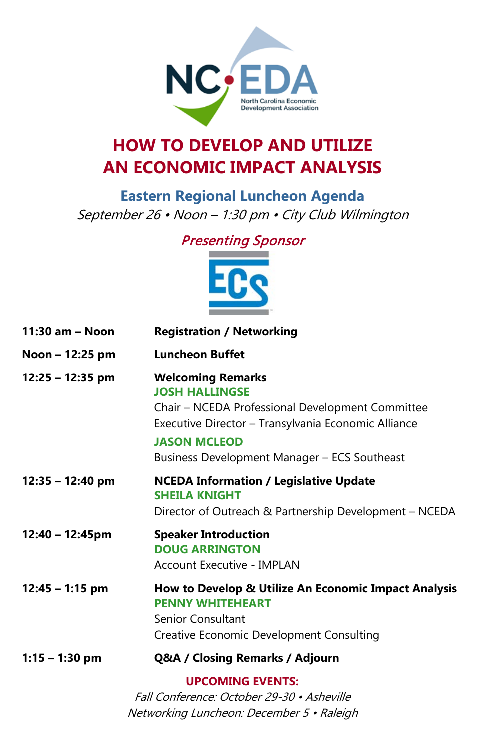

# **HOW TO DEVELOP AND UTILIZE AN ECONOMIC IMPACT ANALYSIS**

**Eastern Regional Luncheon Agenda** September 26 • Noon – 1:30 pm • City Club Wilmington

## Presenting Sponsor



| 11:30 am - Noon    | <b>Registration / Networking</b>                                                                                                                                                                                                    |
|--------------------|-------------------------------------------------------------------------------------------------------------------------------------------------------------------------------------------------------------------------------------|
| Noon - 12:25 pm    | <b>Luncheon Buffet</b>                                                                                                                                                                                                              |
| $12:25 - 12:35$ pm | <b>Welcoming Remarks</b><br><b>JOSH HALLINGSE</b><br>Chair – NCEDA Professional Development Committee<br>Executive Director - Transylvania Economic Alliance<br><b>JASON MCLEOD</b><br>Business Development Manager - ECS Southeast |
| $12:35 - 12:40$ pm | <b>NCEDA Information / Legislative Update</b><br><b>SHEILA KNIGHT</b><br>Director of Outreach & Partnership Development - NCEDA                                                                                                     |
| 12:40 - 12:45pm    | <b>Speaker Introduction</b><br><b>DOUG ARRINGTON</b><br>Account Executive - IMPLAN                                                                                                                                                  |
| $12:45 - 1:15$ pm  | How to Develop & Utilize An Economic Impact Analysis<br><b>PENNY WHITEHEART</b><br>Senior Consultant<br><b>Creative Economic Development Consulting</b>                                                                             |
| $1:15 - 1:30$ pm   | Q&A / Closing Remarks / Adjourn                                                                                                                                                                                                     |
|                    | <b>UPCOMING EVENTS:</b><br>Fall Conference: October 29-30 • Asheville                                                                                                                                                               |

Networking Luncheon: December 5 • Raleigh